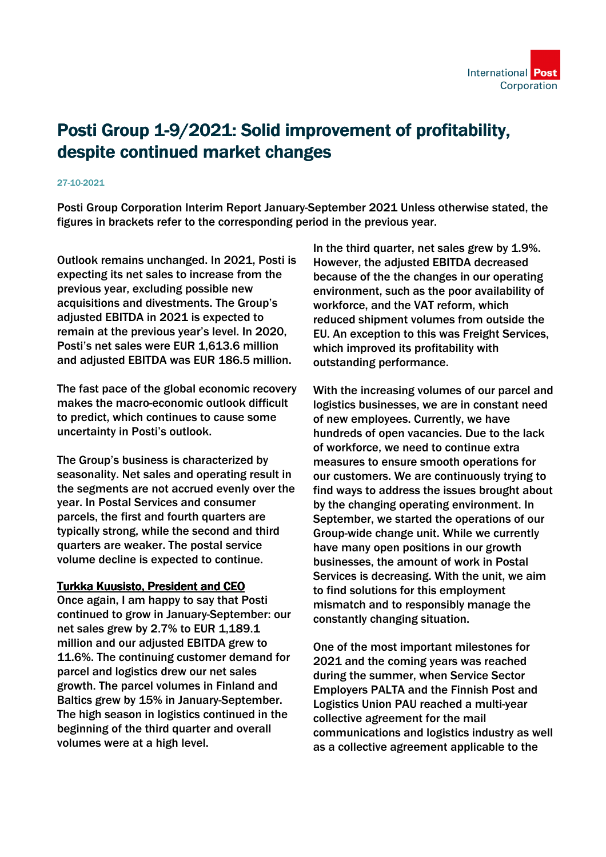## Posti Group 1-9/2021: Solid improvement of profitability, despite continued market changes

## 27-10-2021

Posti Group Corporation Interim Report January-September 2021 Unless otherwise stated, the figures in brackets refer to the corresponding period in the previous year.

Outlook remains unchanged. In 2021, Posti is expecting its net sales to increase from the previous year, excluding possible new acquisitions and divestments. The Group's adjusted EBITDA in 2021 is expected to remain at the previous year's level. In 2020, Posti's net sales were EUR 1,613.6 million and adjusted EBITDA was EUR 186.5 million.

The fast pace of the global economic recovery makes the macro-economic outlook difficult to predict, which continues to cause some uncertainty in Posti's outlook.

The Group's business is characterized by seasonality. Net sales and operating result in the segments are not accrued evenly over the year. In Postal Services and consumer parcels, the first and fourth quarters are typically strong, while the second and third quarters are weaker. The postal service volume decline is expected to continue.

## Turkka Kuusisto, President and CEO

Once again, I am happy to say that Posti continued to grow in January-September: our net sales grew by 2.7% to EUR 1,189.1 million and our adjusted EBITDA grew to 11.6%. The continuing customer demand for parcel and logistics drew our net sales growth. The parcel volumes in Finland and Baltics grew by 15% in January-September. The high season in logistics continued in the beginning of the third quarter and overall volumes were at a high level.

In the third quarter, net sales grew by 1.9%. However, the adjusted EBITDA decreased because of the the changes in our operating environment, such as the poor availability of workforce, and the VAT reform, which reduced shipment volumes from outside the EU. An exception to this was Freight Services, which improved its profitability with outstanding performance.

With the increasing volumes of our parcel and logistics businesses, we are in constant need of new employees. Currently, we have hundreds of open vacancies. Due to the lack of workforce, we need to continue extra measures to ensure smooth operations for our customers. We are continuously trying to find ways to address the issues brought about by the changing operating environment. In September, we started the operations of our Group-wide change unit. While we currently have many open positions in our growth businesses, the amount of work in Postal Services is decreasing. With the unit, we aim to find solutions for this employment mismatch and to responsibly manage the constantly changing situation.

One of the most important milestones for 2021 and the coming years was reached during the summer, when Service Sector Employers PALTA and the Finnish Post and Logistics Union PAU reached a multi-year collective agreement for the mail communications and logistics industry as well as a collective agreement applicable to the